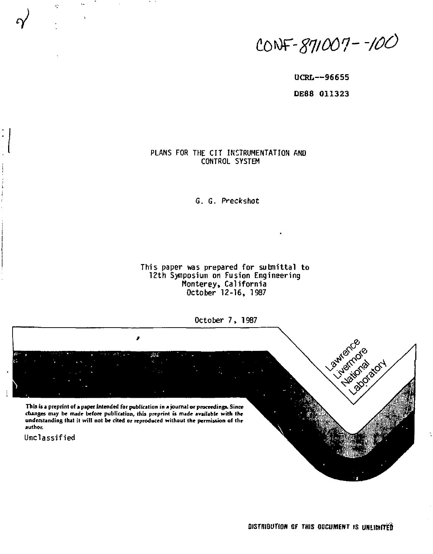toiOF-*gq/001- -ZOO* 

**UCRL—96655 DE88 011323** 

# PLANS FOR THE CIT INSTRUMENTATION AND CONTROL SYSTEM

G. G. Preckshot

**This paper was prepared for submittal to 12th Symposium on Fusion Engineering**  Monterey, California **October 12-16, 1987** 

**October 7, 1987** 

**This is a preprint of a paper intended for publication in a journal or proceedings. Since changes may be nude before publication, this preprint is made available with the understanding that it will not be cited or reproduced without the permission of the author.** 

,

Unclassified

 $\gamma'$ 

 $\dot{\gamma}$ 

Lawsmo Puridicides index tot

**DISTRIBUTION OF THIS GOCUMENT IS UNLIMITED**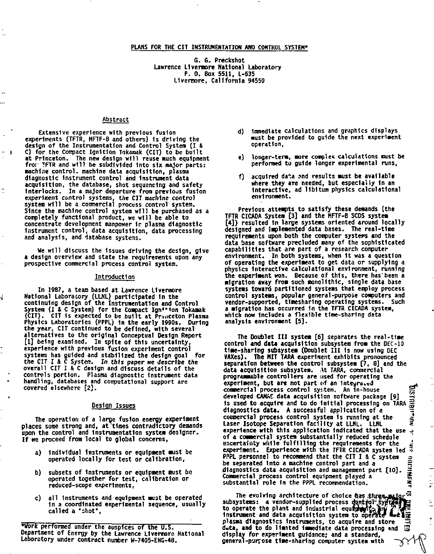## **PLANS FOR THE CIT INSTRUMENTATION ANP CONTROL SYSTEM\***

**G. S. Preckshot Lawrence Llvermore National Laboratory P. 0. Box 5511, L-635 Llvermore, California 94550** 

## **Abstract**

- 1

J

**Extensive experience with previous fusion experiments (TFTR, MFTF-B and others) 1s driving the design of the Instrumentation and Control System (I & C) for the Compact Ignition Tokamak (CIT) to be built**  at Princeton. The new design will reuse much equipment **fror TFTR and will be subdivided Into six major parts:**  machine control. machine data acquisition, plasma **diagnostic Instrument control and Instrument data acquisition, the database, shot sequencing and safety interlocks. In a major departure from previous fusion experiment control systems, the CIT** *machine* **control system will be a commercial process control system. Since the machine control system will be purchased as a completely functional product, we will be able to concentrate development manpower 1r. plasma diagnostic instrument control, data acquisition, data processing and analysis, and database systems.** 

**We will discuss the Issues driving the design, give a design overview and state the requirements upon any prospective commercial process control system.** 

#### **Introduction**

**In 1987, a team based at Lawrence Llveraore National Laboratory (LLNL) participated In the continuing design of the Instrumentation and Control**  System (I & C System) for the Compact Ign<sup>1+1</sup>on Tokamak **(CIT). CIT Is expected to be built at Pr..iceton Plasma Physics Laboratories (PPPL) in the early 1990s. During the year, CIT continued to be defined, with several alternatives to the original Conceptual Design Report [1] being examined. In spite of this uncertainty, experience with previous fusion experiment control systems has guided and stabilized the design goal for the CIT I 4 C System.** *In this* **paper we describe the overall CIT I & C design and discuss details of the controls portion. Plasma diagnostic Instrument data handling, databases and computational support are covered elsewhere [2].** 

# **Design Issues**

**The operation of a large fusion energy experiment places some strong and, at 'times contradictory demands upon the control and Instrumentation system designer. If we proceed from local to global concerns,** 

- **a) Individual Instruments or equipment must be operated locally for test or calibration,**
- **b) subsets of Instruments or equipment must be operated together for test, calibration or reduced-scope experiments,**
- **c) all Instruments and equipment wist be operated 1n a coordinated experimental sequence, usually called a "shot",**

**•worlc performed under the auspices of the U.S. Department of Energy by the Lawrence Llvermore National Laboratory under contract number W-7405-ENG-48.** 

- **d) immediate calculations and graphics displays must be provided to guide the next experiment operation,**
- **e) longer-term, more complex calculations raist be performed to guide longer experimental runs,**
- **f) acquired data snd results must be available where they are needed, but especially In an Interactive, ad libitum physics calculatlonal environment.**

**Previous attempts to satisfy these demands (the TFTR CICADA System [3] and the HFTF-B SCDS system [4]) resulted In large systems oriented around locally designed and Implemented data bases. The real-time requirements upon both the computer systems and the data base software precluded many of the sophisticated capabilities that are part of a research computer environment. In both systems, when It was a question of operating the experiment to get data or supplying a physics Interactive calculatlonal environment, running the experiment won. Because of this, there has'been a migration away from such monolithic, single data base systems toward partitioned systems that employ process control systems, popular general-purpose computers and vendor-supported, timesharing operating systems. Such a migration has occurred In the TFTR CICADA system, which now Includes a flexible time-sharing data analysis environment [5].** 

**The Doublet III system [6] separates the real-time control and data acquisition subsystem from the OEC-10 time-sharing subsystem (Doublet III is now using DEC VAXes). The MIT TARA experlsent exhibits pronounced separation between'the control subsystem [7, 8] and the data acquisition subsystem. At TARA, commercial programmable controllers are used for operating the experiment, but are not part of an integrated**  $\frac{d}{d\theta}$ **<br>commercial process control system, An in-house**  $\frac{d\theta}{d\theta}$ **commercial process control system. An In-house 55**  developed CAMAC data acquisition software package [9] **1s used to acquire and to do Initial processing on TARA** *~*  **diagnostics data. A successful application of e commercial process control system is running at the**  $\frac{1}{2}$ Laser Isotope Separation facility at LLNL. LLNL **experience with this application Indicated that the use -?**  of a commercial system substantially reduced schedule<br> **uncertainty while fulfilling the requirements for the**<br> **experience** with the TFTR CICADA system led \* **PPPL personnel to recommend that the CIT I & C system**<br>
be separated into a machine control part and a angulary and a diagnostics data acquisition and management part [10].<br> **Commercial process control equipment played a be separated Into a machine control part and a** *%*  diagnostics data acquisition and management part [10]. Commercial process control equipment played a substantial role in the PPPL recommendation.

The evolving architecture of choice ftas thuses<br>subsystems: a vendor-supplied process dontfall: System<br>to operate the plant and industrial equiporting<br>instrument and data acquisition system to operate **plasma diagnostics Instruments, to acquire and store data, and to do limited Immediate data processing \*nd**  Ė **display for experiment guidance; and a standard, general-purpose time-sharing computer system with ^yv ^** 

ģ.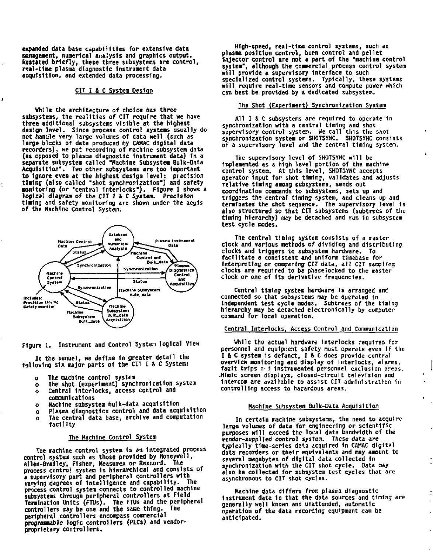**expanded data base capabilities for extensive data unigeaent, numerical analysis and graphics output. Restated briefly, these three subsystems are control, real-time plasma diagnostic Instrument data acquisition, and extended data processing.** 

## **CIT I & C System Design**

ł

÷,

**While the architecture of choice has three subsystems, the realities of CIT require that we have three additional subsystems visible at the highest design lwel. Since process control systems usually do not handle very large volumes of data well (such as large blocks of data produced by CAKAC digital data recorders), we put recording of machine subsystem data (as opposed to plasma diagnostic instrument data) In a separate subsystem called "Machine Subsystem Bulk-Oata Acquisition". Two other subsystems are too important to Ignore even at the highest design level: precision**  timing (also called "shot synchronization") and safety **monitoring (or "central Interlocks"). Figure 1 shows a**  logical diagram of the CIT 1 & C System. Precision **timing and safety monitoring are shown under the aegis of the Machine Control System.** 



**Figure 1. Instrument and Control System logical View** 

**In the sequel, we define 1n greater detail the following six major parts of the CIT I & C System:** 

- **o The machine control system**
- **o The shot (experiment) synchronization system**
- **o Central Interlocks, access control and communications**
- **o Machine subsystem bulk-data acquisition**
- **o Plasma diagnostics control and data acquisition**
- **o The central data base, archive and computation facility**

### **The Machine Control System**

**The machine control system 1s an Integrated process control system such as those provided by Honeywell, Allen-Bradley, Fisher, Measurex or Rexnord. The process control system Is hierarchical and consists of a supervisory part and peripheral controllers with varying degrees of Intelligence and capability. The process control system connects to controlled machine subsystems through peripheral controllers at Field Termination Units (FTUs). The FTUs and the peripheral controllers may be one and the same thing. The peripheral controllers encompass commercial programmable logic controllers (PLCs) and vendorproprietary controllers.** 

**High-speed, real-time control systems, such as plasma position control, bum control and pellet Injector control are not a part of the "machine control system", although the commercial process control system will provide a supervisory Interface to such specialized control systems. Typically, these systems will require real-time sensors and compute power which can best be provided by a dedicated subsystem.** 

# **The Shot (Experiment) Synchronization System**

**All I & C subsystems are required to operate 1n synchronization with a central timing and shot supervisory control system. We call this the shot synchronization system or SHOTSYNC. SHOTSYNC consists of a supervisory level and the central timing system.** 

ı.

**The supervisory level of SHOTSYNC will be Implemented as a high level portion of the machine control system. At this level, SHOTSYNC accepts operator Input for shot timing, validates and adjusts relative timing among subsystems, sends out coordination commands to subsystems, sets up and triggers the central timing system, and cleans up and terminates the shot sequence. The supervisory level 1s also structured so that CIT subsystems (subtrees of the timing hierarchy) may be detached and run 1n subsystem test cycle modes.** 

**The central timing system consists of a master clock and various methods of dividing and distributing clocks and triggers to subsystem hardware. To facilitate a consistent and uniform tlmebase for Interpreting or comparing CIT data, all CIT sampling clocks are required to be phaselocked to the master clock or one of Its derivative frequencies.** 

Central timing system hardware is arranged and **connected so that subsystems may be operated in Independent test cycle modes. Subtrees of the timing hierarchy may be detached electronically by computer command for local operation.** 

### **Central Interlocks, Access Control and Communication**

**While the actual hardware interlocks required for personnel and equipment safety must operate even if the I & C system 1s defunct, I & C does provide central overview monitoring and display of Interlocks, alarms, fault trips o^d Instrumented personnel exclusion areas. .Mimic screen displays, closed-circuit television and Intercom are available to assist CIT administration in controlling access to hazardous areas.** 

#### **Machine Subsystem Bulk-Data Acquisition**

**In certain machine subsystems, the need to acquire large volumes of data for engineering or scientific purposes will exceed the local data bandwidth of the vendor-supplied control system. These data are typically time-series data acquired 1n CAMAC digital data recorders or their equivalents and may amount to several megabytes of digital data collected In synchronization with the CIT shot cycle. Data may also be collected for subsystem test cycles that are asynchronous to CIT shot cycles.** 

**Machine data differs from plasma diagnostic Instrument data 1n that the data sources and timing are generally well known and unattended, automatic operation of the data recording equipment can be anticipated.**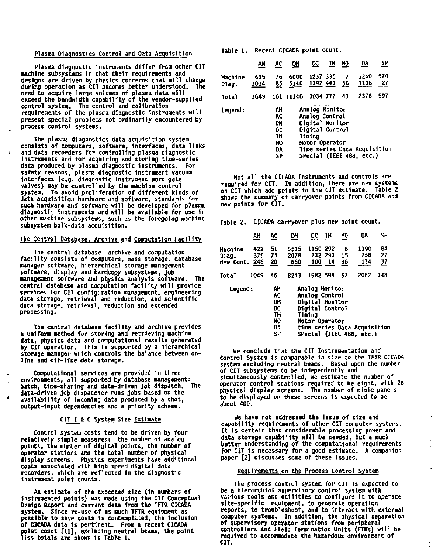### **Plasma Diagnostics Control and Data Acquisition**

**Plasma diagnostic instruments differ from other CIT machine subsystems In that their requirements and**  designs are driven by physics concerns that will change **during operation as CIT becomes better understood. The need to acquire large volumes of plasma data wil l exceed the bandwidth capability of the vendor-supplied control system. The control and calibration requirements of the plasma diagnostic Instruments wil l present special problems not ordinarily encountered by process control systems.** 

**The plasma diagnostics data acquisition system consists of computers, software. Interfaces, data links and data recorders for controlling plasma diagnostic Instruments and for acquiring and storing time-series data produced by plasma diagnostic instruments. For safety reasons, plasma diagnostic instrument vacuum Interfaces (e.g. diagnostic Instrument port gate valves) nay be controlled by the nachlne control system. To avoid proliferation.of different kinds of**  data acquisition hardware and software, standards for **such hardware and software will be developed for plasma diagnostic Instruments and will be available for use In other machine subsystems, such as the foregoing machine subsystem bulk-data acquisition.** 

 $\lambda$ 

### **The Central Database, Archive and Computation Facility**

**The central database, archive and computation facilit y consists of computers, mass storage, database manager software, hierarchical storage management software, display and hardcopy subsystems. Job management software and physics analysis software. The**  central database and computation facility will provide **services for C1T configuration management, engineering data storage, retrieval and reduction, and scientific data storage, retrieval , reduction and extended processing.** 

The central database facility and archive provides **a uniform method for storing and retrieving machine data, physics data and computational results generated by CIT operation. This Is supported by a hierarchical storage manager which controls the balance between online and off-line data storage.** 

**Computational services are provided 1n three environments, al l supported by database management:**  batch, time-sharing and data-driven job dispatch. **data-driven Job dispatcher runs Jobs based on the availabilit y of Incoming data produced by a shot, output-input dependencies and a priority scheme.** 

### **CIT I & C System Size Estimate**

**Control system costs tend to be driven by four**  relatively simple measures: the number of analog<br>points, the number of digital points, the number of **operator stations and the total number of physical display screens. Physics experiments have additional costs associated with high speed digital data recorders, which are reflected In the diagnostic Instrument point counts.** 

**An estimate of the expected size (1n numbers of Instrumented points) was made using the CIT Conceptual Design Report and current data from the TFTA CICADA system. Since re-use of as much TFTR equipment as possible to save costs 1s contemplated, the Inclusion of CICADA data Is pertinent. From a recent CICADA point count [H] <sup>f</sup> excluding neutral beams, the point lis t totals are shown In Table 1 .** 

**Table 1 . Recent CICADA point count.** 

|                  | AM.                                                                                                                                                                                                           | <u>AC</u> | <u>on</u>    | <u>DC</u>            | ŢΝ | HQ      | DА           | <u>se</u> |  |
|------------------|---------------------------------------------------------------------------------------------------------------------------------------------------------------------------------------------------------------|-----------|--------------|----------------------|----|---------|--------------|-----------|--|
| Machine<br>Diam. | 635<br>1014                                                                                                                                                                                                   | 76<br>85  | 6000<br>5146 | 1237 336<br>1797 441 |    | 7<br>36 | 1240<br>1136 | 579<br>27 |  |
| Total            | 1649                                                                                                                                                                                                          |           | 161 11146    | 3034 777             |    | 43      | 2376         | 597       |  |
| Legend:          | Analog Monitor<br>АМ<br>AC<br>Analog Control<br>Oigital Monitor<br>DM<br>Digital Control<br>0C<br>TM<br>Timing<br>ю<br>Motor Operator<br>Time series Data Acquisition<br>DA<br>SPecial (IEEE 488, etc.)<br>SP |           |              |                      |    |         |              |           |  |

**Hot al l the CICADA Instruments and controls are required for CIT, In addition, there are new systems on CIT which add points to the CIT estimate. Table 2 shows the summary of carryover points from CICADA and new points for CIT.** 

**Table 2. CICADA carryover plus new point count.** 

|                    | ли         | AC                           | 맨               | DC             | TH      | MO      | DA          | <u>se</u>  |  |
|--------------------|------------|------------------------------|-----------------|----------------|---------|---------|-------------|------------|--|
| Hachine            | 422<br>379 | 51<br>74                     | 5515<br>2078    | 1150 292       | 732 293 | 6<br>15 | 1190<br>758 | 84<br>27   |  |
| Diag.<br>New Cont. | 248        | 20                           | 650             |                | 100 14  | 36      | 134         | <u> 37</u> |  |
| Total              | 1049       | 45                           | 8243            | 1982 599       |         | 57      | 2082        | 148        |  |
| Legend:            |            | ٨Н                           | Analog Monitor  |                |         |         |             |            |  |
|                    |            | AC                           | Analog Control  |                |         |         |             |            |  |
|                    |            | DH.                          | Digital Monitor |                |         |         |             |            |  |
|                    | DC         | Digital Control              |                 |                |         |         |             |            |  |
|                    |            | TM                           |                 | Tietna         |         |         |             |            |  |
|                    |            | но                           |                 | Motor Operator |         |         |             |            |  |
|                    | DA         | time series Data Acquisition |                 |                |         |         |             |            |  |
|                    | SP         | SPecial (IEEE 488, etc.)     |                 |                |         |         |             |            |  |

We conclude that the CIT Instrumentation and Control Systea 1s comparable *In size to* the TFTR CICADA system excluding neutral beams. Based upon the number of CIT subsystems to be Independently and simultaneously controlled, we estimate the number of operator control stations required to be eight, with 28 physical display screens. The number of mimic panels to be displayed on these screens Is expected to be about 400.

We have not addressed the Issue of size and capability requirements of other CIT computer systems. It Is certain that considerable processing power and data storage capability will be needed, but a much<br>better understanding of the computational requirements<br>for CIT is necessary for a good estimate. A companion<br>paper [2] discusses some of these issues.

#### Requirements on the Process Control System

The process control system for CIT Is expected to be a Merarchlal supervisory control system with various tools and utilities to configure It to operate site-specific equipment, to generate operation reports, to troubleshoot, and to Interact with external computer systems. In addition, the physical separation of supervisory operator stations from peripheral controllers **and** Field Termination Units (FTUs) will be required to accommodate the hazardous environment of **CIT.** 

÷.